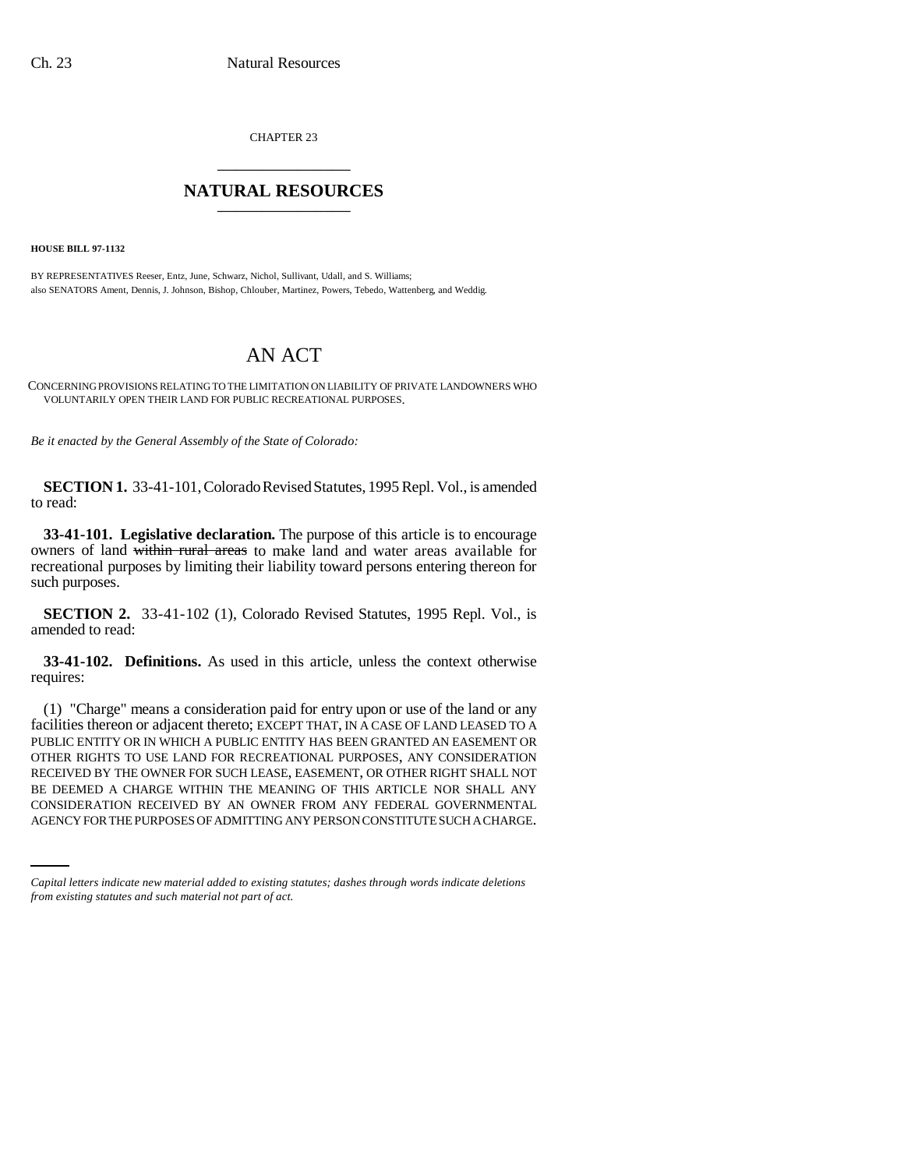CHAPTER 23 \_\_\_\_\_\_\_\_\_\_\_\_\_\_\_

## **NATURAL RESOURCES** \_\_\_\_\_\_\_\_\_\_\_\_\_\_\_

**HOUSE BILL 97-1132**

BY REPRESENTATIVES Reeser, Entz, June, Schwarz, Nichol, Sullivant, Udall, and S. Williams; also SENATORS Ament, Dennis, J. Johnson, Bishop, Chlouber, Martinez, Powers, Tebedo, Wattenberg, and Weddig.

## AN ACT

CONCERNING PROVISIONS RELATING TO THE LIMITATION ON LIABILITY OF PRIVATE LANDOWNERS WHO VOLUNTARILY OPEN THEIR LAND FOR PUBLIC RECREATIONAL PURPOSES.

*Be it enacted by the General Assembly of the State of Colorado:*

**SECTION 1.** 33-41-101, Colorado Revised Statutes, 1995 Repl. Vol., is amended to read:

**33-41-101. Legislative declaration.** The purpose of this article is to encourage owners of land within rural areas to make land and water areas available for recreational purposes by limiting their liability toward persons entering thereon for such purposes.

**SECTION 2.** 33-41-102 (1), Colorado Revised Statutes, 1995 Repl. Vol., is amended to read:

**33-41-102. Definitions.** As used in this article, unless the context otherwise requires:

BE DEEMED A CHARGE WITHIN THE MEANING OF THIS ARTICLE NOR SHALL ANY (1) "Charge" means a consideration paid for entry upon or use of the land or any facilities thereon or adjacent thereto; EXCEPT THAT, IN A CASE OF LAND LEASED TO A PUBLIC ENTITY OR IN WHICH A PUBLIC ENTITY HAS BEEN GRANTED AN EASEMENT OR OTHER RIGHTS TO USE LAND FOR RECREATIONAL PURPOSES, ANY CONSIDERATION RECEIVED BY THE OWNER FOR SUCH LEASE, EASEMENT, OR OTHER RIGHT SHALL NOT CONSIDERATION RECEIVED BY AN OWNER FROM ANY FEDERAL GOVERNMENTAL AGENCY FOR THE PURPOSES OF ADMITTING ANY PERSON CONSTITUTE SUCH A CHARGE.

*Capital letters indicate new material added to existing statutes; dashes through words indicate deletions from existing statutes and such material not part of act.*